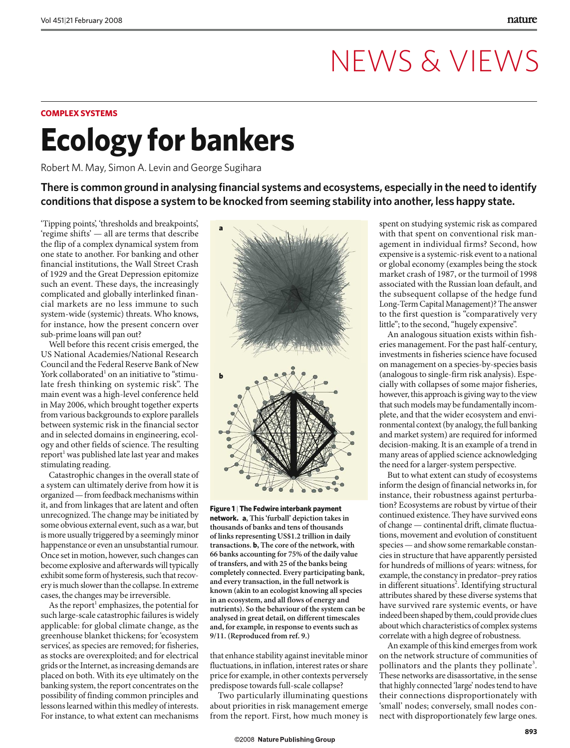## NEWS & VIEWS

#### **COMPLEX SYSTEMS**

# **Ecology for bankers**

Robert M. May, Simon A. Levin and George Sugihara

**There is common ground in analysing financial systems and ecosystems, especially in the need to identify conditions that dispose a system to be knocked from seeming stability into another, less happy state.** 

'Tipping points', 'thresholds and breakpoints', 'regime shifts' — all are terms that describe the flip of a complex dynamical system from one state to another. For banking and other financial institutions, the Wall Street Crash of 1929 and the Great Depression epitomize such an event. These days, the increasingly complicated and globally interlinked financial markets are no less immune to such system-wide (systemic) threats. Who knows, for instance, how the present concern over sub-prime loans will pan out?

Well before this recent crisis emerged, the US National Academies/National Research Council and the Federal Reserve Bank of New York collaborated<sup>1</sup> on an initiative to "stimulate fresh thinking on systemic risk". The main event was a high-level conference held in May 2006, which brought together experts from various backgrounds to explore parallels between systemic risk in the financial sector and in selected domains in engineering, ecology and other fields of science. The resulting report<sup>1</sup> was published late last year and makes stimulating reading.

Catastrophic changes in the overall state of a system can ultimately derive from how it is organized — from feedback mechanisms within it, and from linkages that are latent and often unrecognized. The change may be initiated by some obvious external event, such as a war, but is more usually triggered by a seemingly minor happenstance or even an unsubstantial rumour. Once set in motion, however, such changes can become explosive and afterwards will typically exhibit some form of hysteresis, such that recovery is much slower than the collapse. In extreme cases, the changes may be irreversible.

As the report<sup>1</sup> emphasizes, the potential for such large-scale catastrophic failures is widely applicable: for global climate change, as the greenhouse blanket thickens; for 'ecosystem services', as species are removed; for fisheries, as stocks are overexploited; and for electrical grids or the Internet, as increasing demands are placed on both. With its eye ultimately on the banking system, the report concentrates on the possibility of finding common principles and lessons learned within this medley of interests. For instance, to what extent can mechanisms



**Figure 1** | **The Fedwire interbank payment network. a, This 'furball' depiction takes in thousands of banks and tens of thousands of links representing US\$1.2 trillion in daily transactions. b, The core of the network, with 66 banks accounting for 75% of the daily value of transfers, and with 25 of the banks being completely connected. Every participating bank, and every transaction, in the full network is known (akin to an ecologist knowing all species in an ecosystem, and all flows of energy and nutrients). So the behaviour of the system can be analysed in great detail, on different timescales and, for example, in response to events such as 9/11. (Reproduced from ref. 9.)**

that enhance stability against inevitable minor fluctuations, in inflation, interest rates or share price for example, in other contexts perversely predispose towards full-scale collapse?

Two particularly illuminating questions about priorities in risk management emerge from the report. First, how much money is

spent on studying systemic risk as compared with that spent on conventional risk management in individual firms? Second, how expensive is a systemic-risk event to a national or global economy (examples being the stock market crash of 1987, or the turmoil of 1998 associated with the Russian loan default, and the subsequent collapse of the hedge fund Long-Term Capital Management)? The answer to the first question is "comparatively very little"; to the second, "hugely expensive".

An analogous situation exists within fisheries management. For the past half-century, investments in fisheries science have focused on management on a species-by-species basis (analogous to single-firm risk analysis). Especially with collapses of some major fisheries, however, this approach is giving way to the view that such models may be fundamentally incomplete, and that the wider ecosystem and environmental context (by analogy, the full banking and market system) are required for informed decision-making. It is an example of a trend in many areas of applied science acknowledging the need for a larger-system perspective.

But to what extent can study of ecosystems inform the design of financial networks in, for instance, their robustness against perturbation? Ecosystems are robust by virtue of their continued existence. They have survived eons of change — continental drift, climate fluctuations, movement and evolution of constituent species — and show some remarkable constancies in structure that have apparently persisted for hundreds of millions of years: witness, for example, the constancy in predator–prey ratios in different situations<sup>2</sup>. Identifying structural attributes shared by these diverse systems that have survived rare systemic events, or have indeed been shaped by them, could provide clues about which characteristics of complex systems correlate with a high degree of robustness.

An example of this kind emerges from work on the network structure of communities of pollinators and the plants they pollinate<sup>3</sup>. These networks are disassortative, in the sense that highly connected 'large' nodes tend to have their connections disproportionately with 'small' nodes; conversely, small nodes connect with disproportionately few large ones.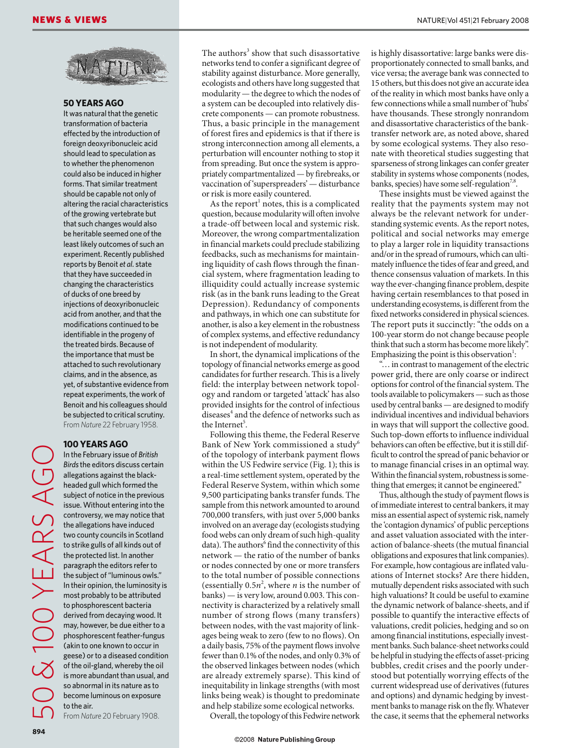

#### **50 YEARS AGO**

It was natural that the genetic transformation of bacteria effected by the introduction of foreign deoxyribonucleic acid should lead to speculation as to whether the phenomenon could also be induced in higher forms. That similar treatment should be capable not only of altering the racial characteristics of the growing vertebrate but that such changes would also be heritable seemed one of the least likely outcomes of such an experiment. Recently published reports by Benoit *et al.* state that they have succeeded in changing the characteristics of ducks of one breed by injections of deoxyribonucleic acid from another, and that the modifications continued to be identifiable in the progeny of the treated birds. Because of the importance that must be attached to such revolutionary claims, and in the absence, as yet, of substantive evidence from repeat experiments, the work of Benoit and his colleagues should be subjected to critical scrutiny. From *Nature* 22 February 1958.

#### **100 YEARS AGO**

In the February issue of *British Birds* the editors discuss certain allegations against the blackheaded gull which formed the subject of notice in the previous issue. Without entering into the controversy, we may notice that the allegations have induced two county councils in Scotland to strike gulls of all kinds out of the protected list. In another paragraph the editors refer to the subject of "luminous owls." In their opinion, the luminosity is most probably to be attributed to phosphorescent bacteria derived from decaying wood. It may, however, be due either to a phosphorescent feather-fungus (akin to one known to occur in geese) or to a diseased condition of the oil-gland, whereby the oil is more abundant than usual, and so abnormal in its nature as to become luminous on exposure to the air.

From *Nature* 20 February 1908.

The authors<sup>3</sup> show that such disassortative networks tend to confer a significant degree of stability against disturbance. More generally, ecologists and others have long suggested that modularity — the degree to which the nodes of a system can be decoupled into relatively discrete components — can promote robustness. Thus, a basic principle in the management of forest fires and epidemics is that if there is strong interconnection among all elements, a perturbation will encounter nothing to stop it from spreading. But once the system is appropriately compartmentalized — by firebreaks, or vaccination of 'superspreaders' — disturbance or risk is more easily countered.

As the report 1 notes, this is a complicated question, because modularity will often involve a trade-off between local and systemic risk. Moreover, the wrong compartmentalization in financial markets could preclude stabilizing feedbacks, such as mechanisms for maintaining liquidity of cash flows through the financial system, where fragmentation leading to illiquidity could actually increase systemic risk (as in the bank runs leading to the Great Depression). Redundancy of components and pathways, in which one can substitute for another, is also a key element in the robustness of complex systems, and effective redundancy is not independent of modularity.

In short, the dynamical implications of the topology of financial networks emerge as good candidates for further research. This is a lively field: the interplay between network topology and random or targeted 'attack' has also provided insights for the control of infectious diseases 4 and the defence of networks such as the Internet 5 .

Following this theme, the Federal Reserve Bank of New York commissioned a study 6 of the topology of interbank payment flows within the US Fedwire service (Fig. 1); this is a real-time settlement system, operated by the Federal Reserve System, within which some 9,500 participating banks transfer funds. The sample from this network amounted to around 700,000 transfers, with just over 5,000 banks involved on an average day (ecologists studying food webs can only dream of such high-quality data). The authors<sup>6</sup> find the connectivity of this network — the ratio of the number of banks or nodes connected by one or more transfers to the total number of possible connections (essentially  $0.5n^2$ , where *n* is the number of banks) — is very low, around 0.003. This connectivity is characterized by a relatively small number of strong flows (many transfers) between nodes, with the vast majority of linkages being weak to zero (few to no flows). On a daily basis, 75% of the payment flows involve fewer than 0.1% of the nodes, and only 0.3% of the observed linkages between nodes (which are already extremely sparse). This kind of inequitability in linkage strengths (with most links being weak) is thought to predominate and help stabilize some ecological networks.

Overall, the topology of this Fedwire network

is highly disassortative: large banks were disproportionately connected to small banks, and vice versa; the average bank was connected to 15 others, but this does not give an accurate idea of the reality in which most banks have only a few connections while a small number of 'hubs' have thousands. These strongly nonrandom and disassortative characteristics of the banktransfer network are, as noted above, shared by some ecological systems. They also resonate with theoretical studies suggesting that sparseness of strong linkages can confer greater stability in systems whose components (nodes, banks, species) have some self-regulation<sup>7,8</sup>.

These insights must be viewed against the reality that the payments system may not always be the relevant network for understanding systemic events. As the report notes, political and social networks may emerge to play a larger role in liquidity transactions and/or in the spread of rumours, which can ultimately influence the tides of fear and greed, and thence consensus valuation of markets. In this way the ever-changing finance problem, despite having certain resemblances to that posed in understanding ecosystems, is different from the fixed networks considered in physical sciences. The report puts it succinctly: "the odds on a 100-year storm do not change because people think that such a storm has become more likely". Emphasizing the point is this observation<sup>1</sup>:

"… in contrast to management of the electric power grid, there are only coarse or indirect options for control of the financial system. The tools available to policymakers — such as those used by central banks — are designed to modify individual incentives and individual behaviors in ways that will support the collective good. Such top-down efforts to influence individual behaviors can often be effective, but it is still difficult to control the spread of panic behavior or to manage financial crises in an optimal way. Within the financial system, robustness is something that emerges; it cannot be engineered."

Thus, although the study of payment flows is of immediate interest to central bankers, it may miss an essential aspect of systemic risk, namely the 'contagion dynamics' of public perceptions and asset valuation associated with the interaction of balance-sheets(the mutual financial obligations and exposures that link companies). For example, how contagious are inflated valuations of Internet stocks? Are there hidden, mutually dependent risks associated with such high valuations? It could be useful to examine the dynamic network of balance-sheets, and if possible to quantify the interactive effects of valuations, credit policies, hedging and so on among financial institutions, especially investment banks. Such balance-sheet networks could be helpful in studying the effects of asset- pricing bubbles, credit crises and the poorly understood but potentially worrying effects of the current widespread use of derivatives (futures and options) and dynamic hedging by investment banks to manage risk on the fly. Whatever the case, it seems that the ephemeral networks